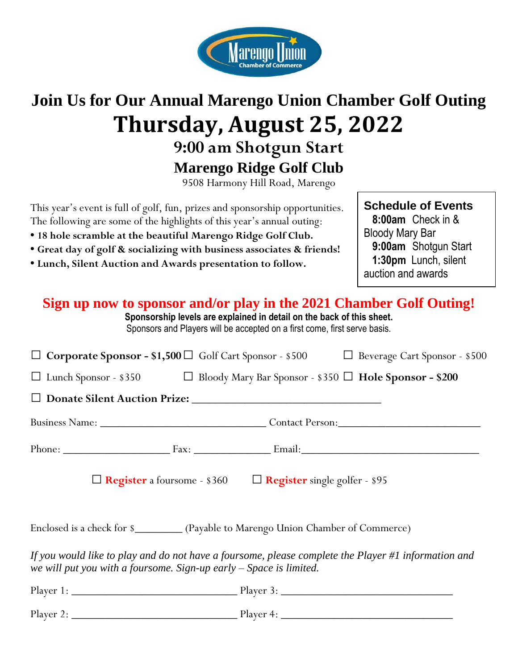

# **Join Us for Our Annual Marengo Union Chamber Golf Outing Thursday, August 25, 2022**

**9:00 am Shotgun Start**

**Marengo Ridge Golf Club**

9508 Harmony Hill Road, Marengo

This year's event is full of golf, fun, prizes and sponsorship opportunities. The following are some of the highlights of this year's annual outing:

- **18 hole scramble at the beautiful Marengo Ridge Golf Club.**
- **Great day of golf & socializing with business associates & friends!**
- **Lunch, Silent Auction and Awards presentation to follow.**

#### **Schedule of Events 8:00am** Check in & Bloody Mary Bar **9:00am** Shotgun Start  **1:30pm** Lunch, silent auction and awards

### **Sign up now to sponsor and/or play in the 2021 Chamber Golf Outing!**

**Sponsorship levels are explained in detail on the back of this sheet.** Sponsors and Players will be accepted on a first come, first serve basis.

| $\Box$ Corporate Sponsor - \$1,500 $\Box$ Golf Cart Sponsor - \$500 $\Box$ Beverage Cart Sponsor - \$500                                                                    |                           |
|-----------------------------------------------------------------------------------------------------------------------------------------------------------------------------|---------------------------|
| $\Box$ Lunch Sponsor - \$350 $\Box$ Bloody Mary Bar Sponsor - \$350 $\Box$ Hole Sponsor - \$200                                                                             |                           |
|                                                                                                                                                                             |                           |
|                                                                                                                                                                             |                           |
|                                                                                                                                                                             | Phone: Fax: Email: Email: |
| $\Box$ Register a foursome - \$360 $\Box$ Register single golfer - \$95                                                                                                     |                           |
| Enclosed is a check for \$____________ (Payable to Marengo Union Chamber of Commerce)                                                                                       |                           |
| If you would like to play and do not have a foursome, please complete the Player #1 information and<br>we will put you with a foursome. Sign-up early $-$ Space is limited. |                           |
|                                                                                                                                                                             |                           |
|                                                                                                                                                                             |                           |